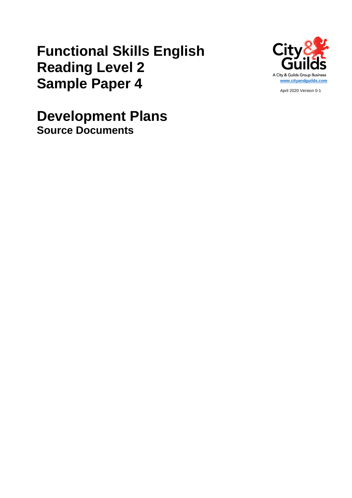# **Functional Skills English Reading Level 2 Sample Paper 4**



April 2020 Version 0-1

**Development Plans Source Documents**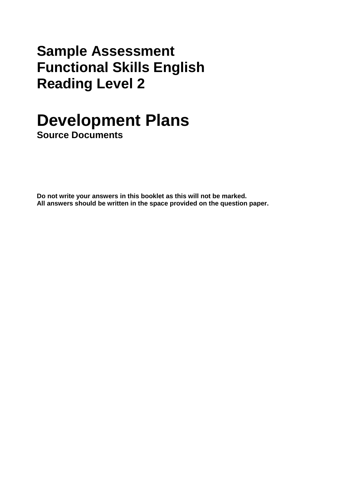## **Sample Assessment Functional Skills English Reading Level 2**

# **Development Plans**

**Source Documents** 

**Do not write your answers in this booklet as this will not be marked. All answers should be written in the space provided on the question paper.**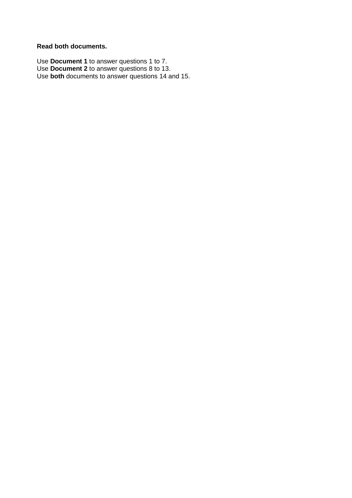#### **Read both documents.**

Use **Document 1** to answer questions 1 to 7. Use **Document 2** to answer questions 8 to 13. Use **both** documents to answer questions 14 and 15.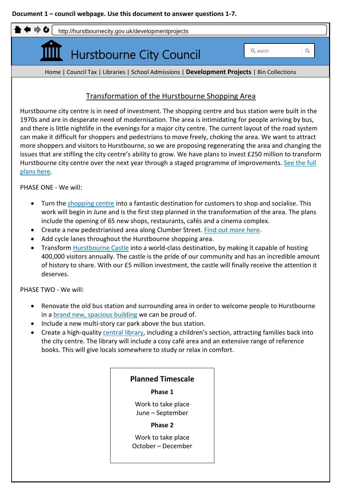

PHASE ONE - We will:

- Turn the shopping centre into a fantastic destination for customers to shop and socialise. This work will begin in June and is the first step planned in the transformation of the area. The plans include the opening of 65 new shops, restaurants, cafés and a cinema complex.
- Create a new pedestrianised area along Clumber Street. Find out more here.
- Add cycle lanes throughout the Hurstbourne shopping area.
- Transform Hurstbourne Castle into a world-class destination, by making it capable of hosting 400,000 visitors annually. The castle is the pride of our community and has an incredible amount of history to share. With our £5 million investment, the castle will finally receive the attention it deserves.

PHASE TWO - We will:

- Renovate the old bus station and surrounding area in order to welcome people to Hurstbourne in a brand new, spacious building we can be proud of.
- Include a new multi-story car park above the bus station.
- Create a high-quality central library, including a children's section, attracting families back into the city centre. The library will include a cosy café area and an extensive range of reference books. This will give locals somewhere to study or relax in comfort.